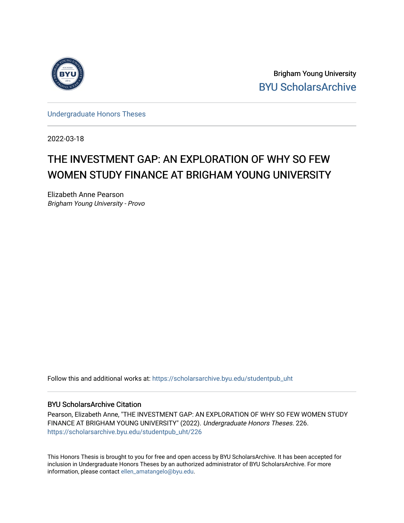

Brigham Young University [BYU ScholarsArchive](https://scholarsarchive.byu.edu/) 

[Undergraduate Honors Theses](https://scholarsarchive.byu.edu/studentpub_uht) 

2022-03-18

# THE INVESTMENT GAP: AN EXPLORATION OF WHY SO FEW WOMEN STUDY FINANCE AT BRIGHAM YOUNG UNIVERSITY

Elizabeth Anne Pearson Brigham Young University - Provo

Follow this and additional works at: [https://scholarsarchive.byu.edu/studentpub\\_uht](https://scholarsarchive.byu.edu/studentpub_uht?utm_source=scholarsarchive.byu.edu%2Fstudentpub_uht%2F226&utm_medium=PDF&utm_campaign=PDFCoverPages) 

#### BYU ScholarsArchive Citation

Pearson, Elizabeth Anne, "THE INVESTMENT GAP: AN EXPLORATION OF WHY SO FEW WOMEN STUDY FINANCE AT BRIGHAM YOUNG UNIVERSITY" (2022). Undergraduate Honors Theses. 226. [https://scholarsarchive.byu.edu/studentpub\\_uht/226](https://scholarsarchive.byu.edu/studentpub_uht/226?utm_source=scholarsarchive.byu.edu%2Fstudentpub_uht%2F226&utm_medium=PDF&utm_campaign=PDFCoverPages)

This Honors Thesis is brought to you for free and open access by BYU ScholarsArchive. It has been accepted for inclusion in Undergraduate Honors Theses by an authorized administrator of BYU ScholarsArchive. For more information, please contact [ellen\\_amatangelo@byu.edu.](mailto:ellen_amatangelo@byu.edu)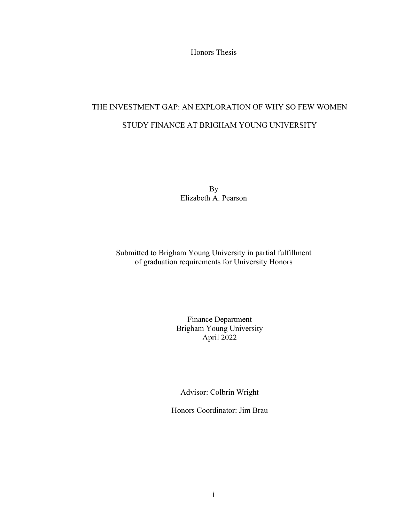Honors Thesis

# THE INVESTMENT GAP: AN EXPLORATION OF WHY SO FEW WOMEN STUDY FINANCE AT BRIGHAM YOUNG UNIVERSITY

By Elizabeth A. Pearson

Submitted to Brigham Young University in partial fulfillment of graduation requirements for University Honors

> Finance Department Brigham Young University April 2022

Advisor: Colbrin Wright

Honors Coordinator: Jim Brau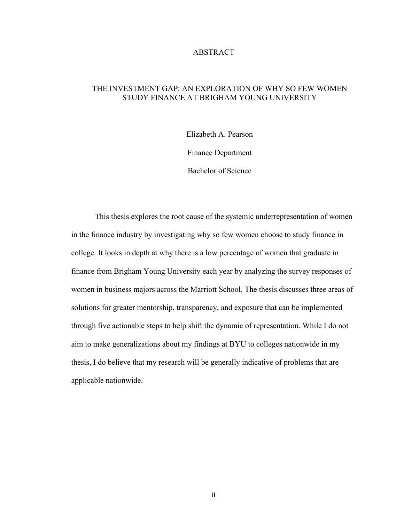#### ABSTRACT

## THE INVESTMENT GAP: AN EXPLORATION OF WHY SO FEW WOMEN STUDY FINANCE AT BRIGHAM YOUNG UNIVERSITY

Elizabeth A. Pearson

Finance Department

Bachelor of Science

This thesis explores the root cause of the systemic underrepresentation of women in the finance industry by investigating why so few women choose to study finance in college. It looks in depth at why there is a low percentage of women that graduate in finance from Brigham Young University each year by analyzing the survey responses of women in business majors across the Marriott School. The thesis discusses three areas of solutions for greater mentorship, transparency, and exposure that can be implemented through five actionable steps to help shift the dynamic of representation. While I do not aim to make generalizations about my findings at BYU to colleges nationwide in my thesis, I do believe that my research will be generally indicative of problems that are applicable nationwide.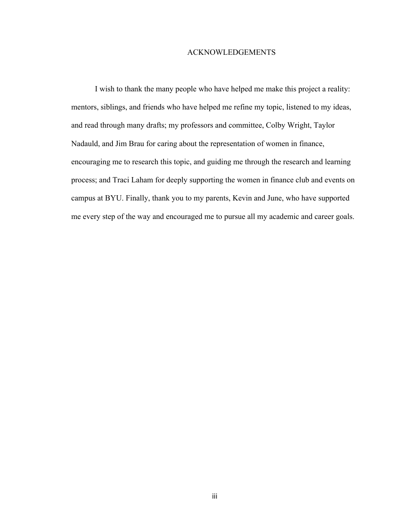#### ACKNOWLEDGEMENTS

I wish to thank the many people who have helped me make this project a reality: mentors, siblings, and friends who have helped me refine my topic, listened to my ideas, and read through many drafts; my professors and committee, Colby Wright, Taylor Nadauld, and Jim Brau for caring about the representation of women in finance, encouraging me to research this topic, and guiding me through the research and learning process; and Traci Laham for deeply supporting the women in finance club and events on campus at BYU. Finally, thank you to my parents, Kevin and June, who have supported me every step of the way and encouraged me to pursue all my academic and career goals.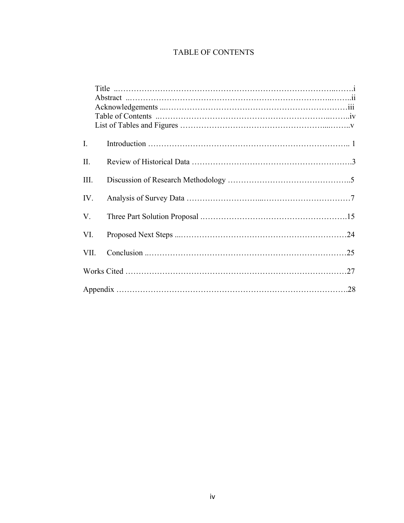# TABLE OF CONTENTS

| I.   |  |
|------|--|
| II.  |  |
| III. |  |
| IV.  |  |
| V.   |  |
| VI.  |  |
| VII. |  |
|      |  |
|      |  |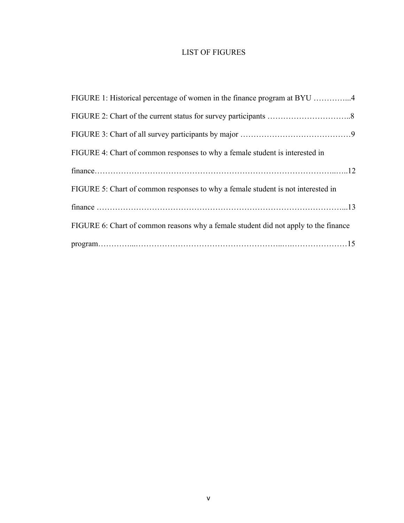## LIST OF FIGURES

| FIGURE 1: Historical percentage of women in the finance program at BYU 4            |
|-------------------------------------------------------------------------------------|
|                                                                                     |
|                                                                                     |
| FIGURE 4: Chart of common responses to why a female student is interested in        |
|                                                                                     |
| FIGURE 5: Chart of common responses to why a female student is not interested in    |
|                                                                                     |
| FIGURE 6: Chart of common reasons why a female student did not apply to the finance |
|                                                                                     |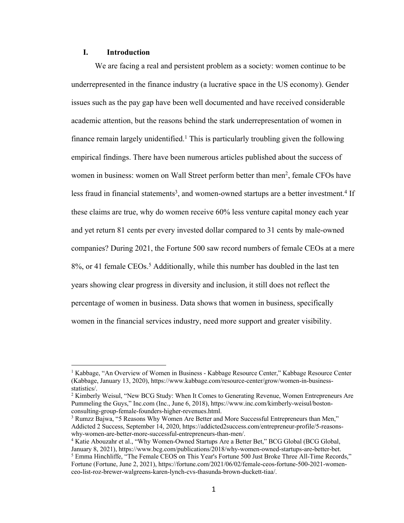### **I. Introduction**

We are facing a real and persistent problem as a society: women continue to be underrepresented in the finance industry (a lucrative space in the US economy). Gender issues such as the pay gap have been well documented and have received considerable academic attention, but the reasons behind the stark underrepresentation of women in finance remain largely unidentified.<sup>1</sup> This is particularly troubling given the following empirical findings. There have been numerous articles published about the success of women in business: women on Wall Street perform better than men<sup>2</sup>, female CFOs have less fraud in financial statements<sup>3</sup>, and women-owned startups are a better investment.<sup>4</sup> If these claims are true, why do women receive 60% less venture capital money each year and yet return 81 cents per every invested dollar compared to 31 cents by male-owned companies? During 2021, the Fortune 500 saw record numbers of female CEOs at a mere 8%, or 41 female CEOs. <sup>5</sup> Additionally, while this number has doubled in the last ten years showing clear progress in diversity and inclusion, it still does not reflect the percentage of women in business. Data shows that women in business, specifically women in the financial services industry, need more support and greater visibility.

<sup>1</sup> Kabbage, "An Overview of Women in Business - Kabbage Resource Center," Kabbage Resource Center (Kabbage, January 13, 2020), https://www.kabbage.com/resource-center/grow/women-in-businessstatistics/.

 $2$  Kimberly Weisul, "New BCG Study: When It Comes to Generating Revenue, Women Entrepreneurs Are Pummeling the Guys," Inc.com (Inc., June 6, 2018), https://www.inc.com/kimberly-weisul/bostonconsulting-group-female-founders-higher-revenues.html.

<sup>&</sup>lt;sup>3</sup> Rumzz Bajwa, "5 Reasons Why Women Are Better and More Successful Entrepreneurs than Men," Addicted 2 Success, September 14, 2020, https://addicted2success.com/entrepreneur-profile/5-reasonswhy-women-are-better-more-successful-entrepreneurs-than-men/.

<sup>&</sup>lt;sup>4</sup> Katie Abouzahr et al., "Why Women-Owned Startups Are a Better Bet," BCG Global (BCG Global, January 8, 2021), https://www.bcg.com/publications/2018/why-women-owned-startups-are-better-bet. <sup>5</sup> Emma Hinchliffe, "The Female CEOS on This Year's Fortune 500 Just Broke Three All-Time Records," Fortune (Fortune, June 2, 2021), https://fortune.com/2021/06/02/female-ceos-fortune-500-2021-womenceo-list-roz-brewer-walgreens-karen-lynch-cvs-thasunda-brown-duckett-tiaa/.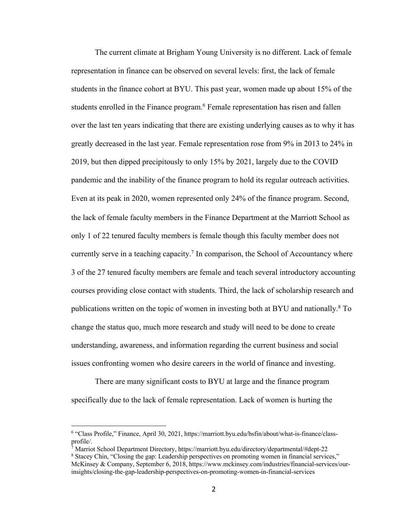The current climate at Brigham Young University is no different. Lack of female representation in finance can be observed on several levels: first, the lack of female students in the finance cohort at BYU. This past year, women made up about 15% of the students enrolled in the Finance program.<sup>6</sup> Female representation has risen and fallen over the last ten years indicating that there are existing underlying causes as to why it has greatly decreased in the last year. Female representation rose from 9% in 2013 to 24% in 2019, but then dipped precipitously to only 15% by 2021, largely due to the COVID pandemic and the inability of the finance program to hold its regular outreach activities. Even at its peak in 2020, women represented only 24% of the finance program. Second, the lack of female faculty members in the Finance Department at the Marriott School as only 1 of 22 tenured faculty members is female though this faculty member does not currently serve in a teaching capacity.<sup>7</sup> In comparison, the School of Accountancy where 3 of the 27 tenured faculty members are female and teach several introductory accounting courses providing close contact with students. Third, the lack of scholarship research and publications written on the topic of women in investing both at BYU and nationally. <sup>8</sup> To change the status quo, much more research and study will need to be done to create understanding, awareness, and information regarding the current business and social issues confronting women who desire careers in the world of finance and investing.

There are many significant costs to BYU at large and the finance program specifically due to the lack of female representation. Lack of women is hurting the

<sup>6</sup> "Class Profile," Finance, April 30, 2021, https://marriott.byu.edu/bsfin/about/what-is-finance/classprofile/.

<sup>7</sup> Marriot School Department Directory, https://marriott.byu.edu/directory/departmental/#dept-22

<sup>8</sup> Stacey Chin, "Closing the gap: Leadership perspectives on promoting women in financial services," McKinsey & Company, September 6, 2018, https://www.mckinsey.com/industries/financial-services/ourinsights/closing-the-gap-leadership-perspectives-on-promoting-women-in-financial-services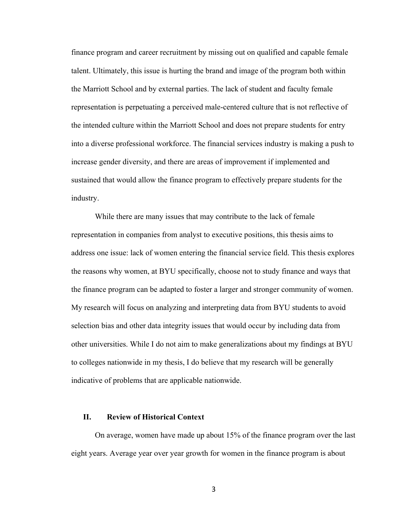finance program and career recruitment by missing out on qualified and capable female talent. Ultimately, this issue is hurting the brand and image of the program both within the Marriott School and by external parties. The lack of student and faculty female representation is perpetuating a perceived male-centered culture that is not reflective of the intended culture within the Marriott School and does not prepare students for entry into a diverse professional workforce. The financial services industry is making a push to increase gender diversity, and there are areas of improvement if implemented and sustained that would allow the finance program to effectively prepare students for the industry.

While there are many issues that may contribute to the lack of female representation in companies from analyst to executive positions, this thesis aims to address one issue: lack of women entering the financial service field. This thesis explores the reasons why women, at BYU specifically, choose not to study finance and ways that the finance program can be adapted to foster a larger and stronger community of women. My research will focus on analyzing and interpreting data from BYU students to avoid selection bias and other data integrity issues that would occur by including data from other universities. While I do not aim to make generalizations about my findings at BYU to colleges nationwide in my thesis, I do believe that my research will be generally indicative of problems that are applicable nationwide.

#### **II. Review of Historical Context**

On average, women have made up about 15% of the finance program over the last eight years. Average year over year growth for women in the finance program is about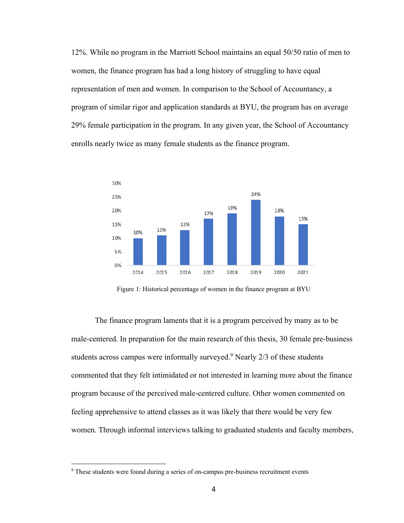12%. While no program in the Marriott School maintains an equal 50/50 ratio of men to women, the finance program has had a long history of struggling to have equal representation of men and women. In comparison to the School of Accountancy, a program of similar rigor and application standards at BYU, the program has on average 29% female participation in the program. In any given year, the School of Accountancy enrolls nearly twice as many female students as the finance program.



Figure 1: Historical percentage of women in the finance program at BYU

The finance program laments that it is a program perceived by many as to be male-centered. In preparation for the main research of this thesis, 30 female pre-business students across campus were informally surveyed.<sup>9</sup> Nearly  $2/3$  of these students commented that they felt intimidated or not interested in learning more about the finance program because of the perceived male-centered culture. Other women commented on feeling apprehensive to attend classes as it was likely that there would be very few women. Through informal interviews talking to graduated students and faculty members,

<sup>&</sup>lt;sup>9</sup> These students were found during a series of on-campus pre-business recruitment events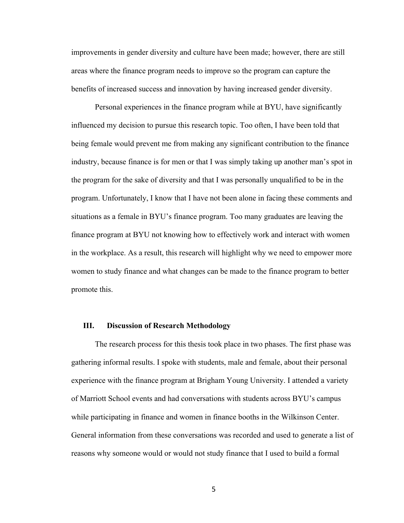improvements in gender diversity and culture have been made; however, there are still areas where the finance program needs to improve so the program can capture the benefits of increased success and innovation by having increased gender diversity.

Personal experiences in the finance program while at BYU, have significantly influenced my decision to pursue this research topic. Too often, I have been told that being female would prevent me from making any significant contribution to the finance industry, because finance is for men or that I was simply taking up another man's spot in the program for the sake of diversity and that I was personally unqualified to be in the program. Unfortunately, I know that I have not been alone in facing these comments and situations as a female in BYU's finance program. Too many graduates are leaving the finance program at BYU not knowing how to effectively work and interact with women in the workplace. As a result, this research will highlight why we need to empower more women to study finance and what changes can be made to the finance program to better promote this.

#### **III. Discussion of Research Methodology**

The research process for this thesis took place in two phases. The first phase was gathering informal results. I spoke with students, male and female, about their personal experience with the finance program at Brigham Young University. I attended a variety of Marriott School events and had conversations with students across BYU's campus while participating in finance and women in finance booths in the Wilkinson Center. General information from these conversations was recorded and used to generate a list of reasons why someone would or would not study finance that I used to build a formal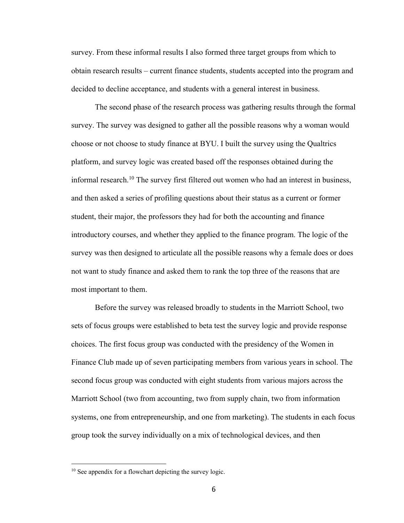survey. From these informal results I also formed three target groups from which to obtain research results – current finance students, students accepted into the program and decided to decline acceptance, and students with a general interest in business.

The second phase of the research process was gathering results through the formal survey. The survey was designed to gather all the possible reasons why a woman would choose or not choose to study finance at BYU. I built the survey using the Qualtrics platform, and survey logic was created based off the responses obtained during the informal research. <sup>10</sup> The survey first filtered out women who had an interest in business, and then asked a series of profiling questions about their status as a current or former student, their major, the professors they had for both the accounting and finance introductory courses, and whether they applied to the finance program. The logic of the survey was then designed to articulate all the possible reasons why a female does or does not want to study finance and asked them to rank the top three of the reasons that are most important to them.

Before the survey was released broadly to students in the Marriott School, two sets of focus groups were established to beta test the survey logic and provide response choices. The first focus group was conducted with the presidency of the Women in Finance Club made up of seven participating members from various years in school. The second focus group was conducted with eight students from various majors across the Marriott School (two from accounting, two from supply chain, two from information systems, one from entrepreneurship, and one from marketing). The students in each focus group took the survey individually on a mix of technological devices, and then

<sup>&</sup>lt;sup>10</sup> See appendix for a flowchart depicting the survey logic.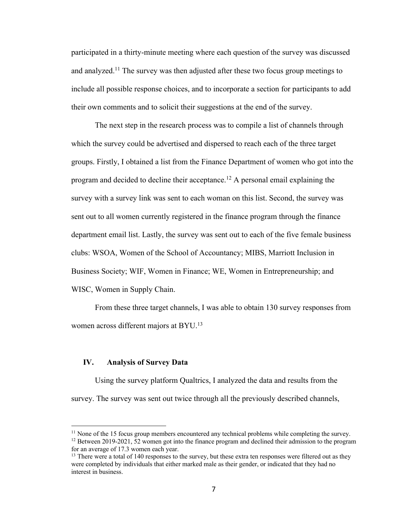participated in a thirty-minute meeting where each question of the survey was discussed and analyzed.<sup>11</sup> The survey was then adjusted after these two focus group meetings to include all possible response choices, and to incorporate a section for participants to add their own comments and to solicit their suggestions at the end of the survey.

The next step in the research process was to compile a list of channels through which the survey could be advertised and dispersed to reach each of the three target groups. Firstly, I obtained a list from the Finance Department of women who got into the program and decided to decline their acceptance.<sup>12</sup> A personal email explaining the survey with a survey link was sent to each woman on this list. Second, the survey was sent out to all women currently registered in the finance program through the finance department email list. Lastly, the survey was sent out to each of the five female business clubs: WSOA, Women of the School of Accountancy; MIBS, Marriott Inclusion in Business Society; WIF, Women in Finance; WE, Women in Entrepreneurship; and WISC, Women in Supply Chain.

From these three target channels, I was able to obtain 130 survey responses from women across different majors at BYU.<sup>13</sup>

#### **IV. Analysis of Survey Data**

Using the survey platform Qualtrics, I analyzed the data and results from the survey. The survey was sent out twice through all the previously described channels,

<sup>&</sup>lt;sup>11</sup> None of the 15 focus group members encountered any technical problems while completing the survey. <sup>12</sup> Between 2019-2021, 52 women got into the finance program and declined their admission to the program for an average of 17.3 women each year.

<sup>&</sup>lt;sup>13</sup> There were a total of 140 responses to the survey, but these extra ten responses were filtered out as they were completed by individuals that either marked male as their gender, or indicated that they had no interest in business.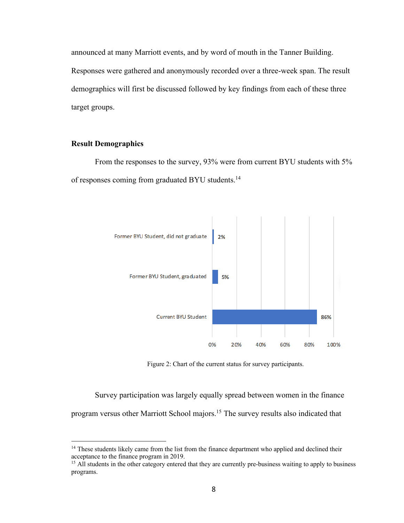announced at many Marriott events, and by word of mouth in the Tanner Building. Responses were gathered and anonymously recorded over a three-week span. The result demographics will first be discussed followed by key findings from each of these three target groups.

#### **Result Demographics**

From the responses to the survey, 93% were from current BYU students with 5% of responses coming from graduated BYU students.14



Figure 2: Chart of the current status for survey participants.

Survey participation was largely equally spread between women in the finance program versus other Marriott School majors.15 The survey results also indicated that

<sup>&</sup>lt;sup>14</sup> These students likely came from the list from the finance department who applied and declined their acceptance to the finance program in 2019.

<sup>&</sup>lt;sup>15</sup> All students in the other category entered that they are currently pre-business waiting to apply to business programs.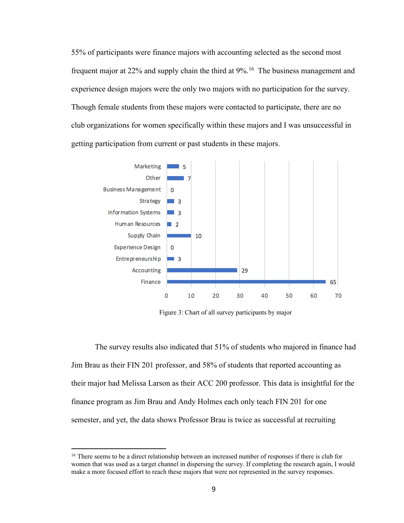55% of participants were finance majors with accounting selected as the second most frequent major at  $22\%$  and supply chain the third at  $9\%$ <sup>16</sup>. The business management and experience design majors were the only two majors with no participation for the survey. Though female students from these majors were contacted to participate, there are no club organizations for women specifically within these majors and I was unsuccessful in getting participation from current or past students in these majors.



Figure 3: Chart of all survey participants by major

The survey results also indicated that 51% of students who majored in finance had Jim Brau as their FIN 201 professor, and 58% of students that reported accounting as their major had Melissa Larson as their ACC 200 professor. This data is insightful for the finance program as Jim Brau and Andy Holmes each only teach FIN 201 for one semester, and yet, the data shows Professor Brau is twice as successful at recruiting

<sup>&</sup>lt;sup>16</sup> There seems to be a direct relationship between an increased number of responses if there is club for women that was used as a target channel in dispersing the survey. If completing the research again, I would make a more focused effort to reach these majors that were not represented in the survey responses.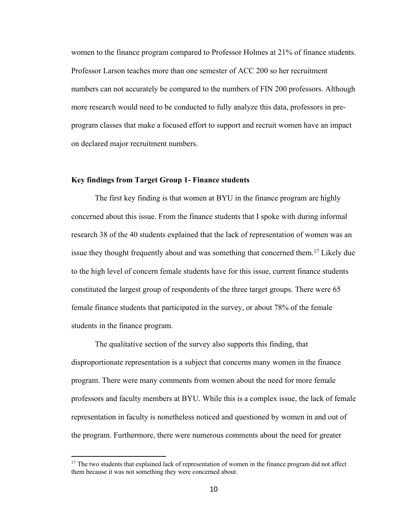women to the finance program compared to Professor Holmes at 21% of finance students. Professor Larson teaches more than one semester of ACC 200 so her recruitment numbers can not accurately be compared to the numbers of FIN 200 professors. Although more research would need to be conducted to fully analyze this data, professors in preprogram classes that make a focused effort to support and recruit women have an impact on declared major recruitment numbers.

#### **Key findings from Target Group 1- Finance students**

The first key finding is that women at BYU in the finance program are highly concerned about this issue. From the finance students that I spoke with during informal research 38 of the 40 students explained that the lack of representation of women was an issue they thought frequently about and was something that concerned them.<sup>17</sup> Likely due to the high level of concern female students have for this issue, current finance students constituted the largest group of respondents of the three target groups. There were 65 female finance students that participated in the survey, or about 78% of the female students in the finance program.

The qualitative section of the survey also supports this finding, that disproportionate representation is a subject that concerns many women in the finance program. There were many comments from women about the need for more female professors and faculty members at BYU. While this is a complex issue, the lack of female representation in faculty is nonetheless noticed and questioned by women in and out of the program. Furthermore, there were numerous comments about the need for greater

 $17$  The two students that explained lack of representation of women in the finance program did not affect them because it was not something they were concerned about.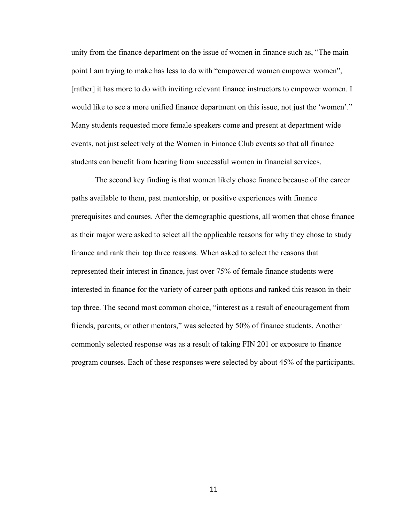unity from the finance department on the issue of women in finance such as, "The main point I am trying to make has less to do with "empowered women empower women", [rather] it has more to do with inviting relevant finance instructors to empower women. I would like to see a more unified finance department on this issue, not just the 'women'." Many students requested more female speakers come and present at department wide events, not just selectively at the Women in Finance Club events so that all finance students can benefit from hearing from successful women in financial services.

The second key finding is that women likely chose finance because of the career paths available to them, past mentorship, or positive experiences with finance prerequisites and courses. After the demographic questions, all women that chose finance as their major were asked to select all the applicable reasons for why they chose to study finance and rank their top three reasons. When asked to select the reasons that represented their interest in finance, just over 75% of female finance students were interested in finance for the variety of career path options and ranked this reason in their top three. The second most common choice, "interest as a result of encouragement from friends, parents, or other mentors," was selected by 50% of finance students. Another commonly selected response was as a result of taking FIN 201 or exposure to finance program courses. Each of these responses were selected by about 45% of the participants.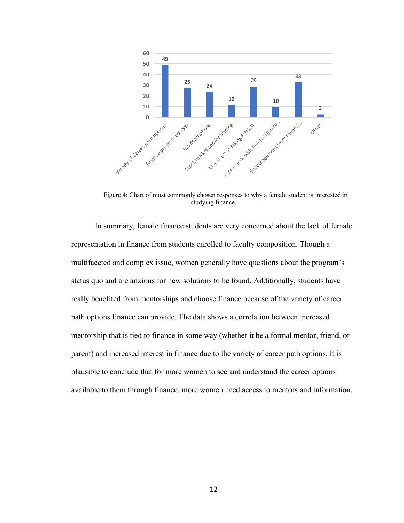

Figure 4: Chart of most commonly chosen responses to why a female student is interested in studying finance.

In summary, female finance students are very concerned about the lack of female representation in finance from students enrolled to faculty composition. Though a multifaceted and complex issue, women generally have questions about the program's status quo and are anxious for new solutions to be found. Additionally, students have really benefited from mentorships and choose finance because of the variety of career path options finance can provide. The data shows a correlation between increased mentorship that is tied to finance in some way (whether it be a formal mentor, friend, or parent) and increased interest in finance due to the variety of career path options. It is plausible to conclude that for more women to see and understand the career options available to them through finance, more women need access to mentors and information.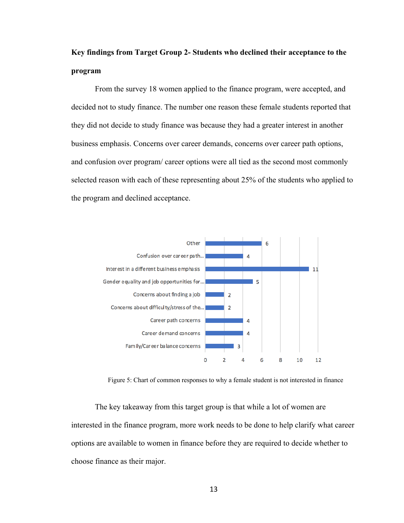# **Key findings from Target Group 2- Students who declined their acceptance to the program**

From the survey 18 women applied to the finance program, were accepted, and decided not to study finance. The number one reason these female students reported that they did not decide to study finance was because they had a greater interest in another business emphasis. Concerns over career demands, concerns over career path options, and confusion over program/ career options were all tied as the second most commonly selected reason with each of these representing about 25% of the students who applied to the program and declined acceptance.



Figure 5: Chart of common responses to why a female student is not interested in finance

The key takeaway from this target group is that while a lot of women are interested in the finance program, more work needs to be done to help clarify what career options are available to women in finance before they are required to decide whether to choose finance as their major.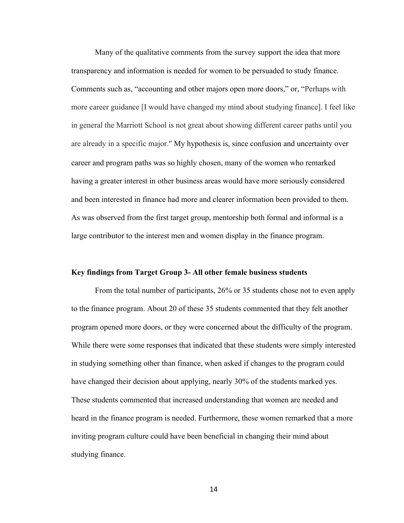Many of the qualitative comments from the survey support the idea that more transparency and information is needed for women to be persuaded to study finance. Comments such as, "accounting and other majors open more doors," or, "Perhaps with more career guidance [I would have changed my mind about studying finance]. I feel like in general the Marriott School is not great about showing different career paths until you are already in a specific major." My hypothesis is, since confusion and uncertainty over career and program paths was so highly chosen, many of the women who remarked having a greater interest in other business areas would have more seriously considered and been interested in finance had more and clearer information been provided to them. As was observed from the first target group, mentorship both formal and informal is a large contributor to the interest men and women display in the finance program.

#### **Key findings from Target Group 3- All other female business students**

From the total number of participants, 26% or 35 students chose not to even apply to the finance program. About 20 of these 35 students commented that they felt another program opened more doors, or they were concerned about the difficulty of the program. While there were some responses that indicated that these students were simply interested in studying something other than finance, when asked if changes to the program could have changed their decision about applying, nearly 30% of the students marked yes. These students commented that increased understanding that women are needed and heard in the finance program is needed. Furthermore, these women remarked that a more inviting program culture could have been beneficial in changing their mind about studying finance.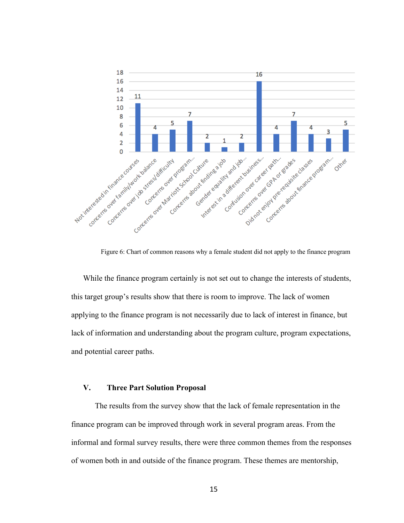

Figure 6: Chart of common reasons why a female student did not apply to the finance program

While the finance program certainly is not set out to change the interests of students, this target group's results show that there is room to improve. The lack of women applying to the finance program is not necessarily due to lack of interest in finance, but lack of information and understanding about the program culture, program expectations, and potential career paths.

#### **V. Three Part Solution Proposal**

The results from the survey show that the lack of female representation in the finance program can be improved through work in several program areas. From the informal and formal survey results, there were three common themes from the responses of women both in and outside of the finance program. These themes are mentorship,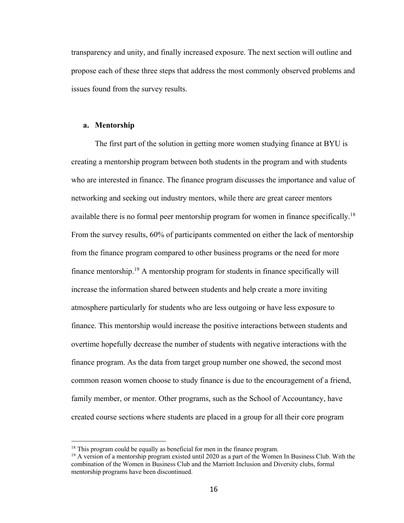transparency and unity, and finally increased exposure. The next section will outline and propose each of these three steps that address the most commonly observed problems and issues found from the survey results.

#### **a. Mentorship**

The first part of the solution in getting more women studying finance at BYU is creating a mentorship program between both students in the program and with students who are interested in finance. The finance program discusses the importance and value of networking and seeking out industry mentors, while there are great career mentors available there is no formal peer mentorship program for women in finance specifically.<sup>18</sup> From the survey results, 60% of participants commented on either the lack of mentorship from the finance program compared to other business programs or the need for more finance mentorship.19 A mentorship program for students in finance specifically will increase the information shared between students and help create a more inviting atmosphere particularly for students who are less outgoing or have less exposure to finance. This mentorship would increase the positive interactions between students and overtime hopefully decrease the number of students with negative interactions with the finance program. As the data from target group number one showed, the second most common reason women choose to study finance is due to the encouragement of a friend, family member, or mentor. Other programs, such as the School of Accountancy, have created course sections where students are placed in a group for all their core program

<sup>&</sup>lt;sup>18</sup> This program could be equally as beneficial for men in the finance program.<br><sup>19</sup> A version of a mentorship program existed until 2020 as a part of the Women In Business Club. With the combination of the Women in Business Club and the Marriott Inclusion and Diversity clubs, formal mentorship programs have been discontinued.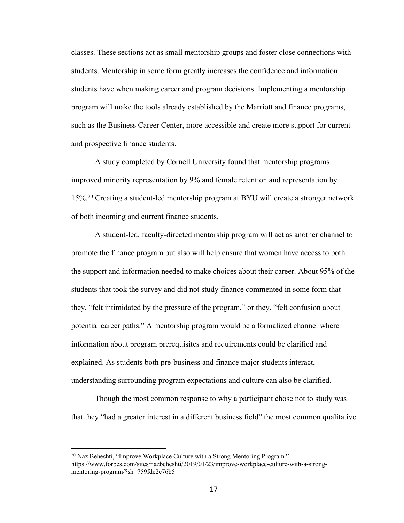classes. These sections act as small mentorship groups and foster close connections with students. Mentorship in some form greatly increases the confidence and information students have when making career and program decisions. Implementing a mentorship program will make the tools already established by the Marriott and finance programs, such as the Business Career Center, more accessible and create more support for current and prospective finance students.

A study completed by Cornell University found that mentorship programs improved minority representation by 9% and female retention and representation by 15%.20 Creating a student-led mentorship program at BYU will create a stronger network of both incoming and current finance students.

A student-led, faculty-directed mentorship program will act as another channel to promote the finance program but also will help ensure that women have access to both the support and information needed to make choices about their career. About 95% of the students that took the survey and did not study finance commented in some form that they, "felt intimidated by the pressure of the program," or they, "felt confusion about potential career paths." A mentorship program would be a formalized channel where information about program prerequisites and requirements could be clarified and explained. As students both pre-business and finance major students interact, understanding surrounding program expectations and culture can also be clarified.

Though the most common response to why a participant chose not to study was that they "had a greater interest in a different business field" the most common qualitative

 $^{20}$  Naz Beheshti, "Improve Workplace Culture with a Strong Mentoring Program." https://www.forbes.com/sites/nazbeheshti/2019/01/23/improve-workplace-culture-with-a-strongmentoring-program/?sh=759fdc2c76b5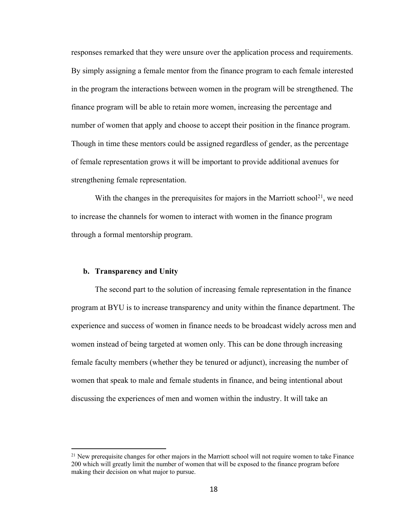responses remarked that they were unsure over the application process and requirements. By simply assigning a female mentor from the finance program to each female interested in the program the interactions between women in the program will be strengthened. The finance program will be able to retain more women, increasing the percentage and number of women that apply and choose to accept their position in the finance program. Though in time these mentors could be assigned regardless of gender, as the percentage of female representation grows it will be important to provide additional avenues for strengthening female representation.

With the changes in the prerequisites for majors in the Marriott school<sup>21</sup>, we need to increase the channels for women to interact with women in the finance program through a formal mentorship program.

### **b. Transparency and Unity**

The second part to the solution of increasing female representation in the finance program at BYU is to increase transparency and unity within the finance department. The experience and success of women in finance needs to be broadcast widely across men and women instead of being targeted at women only. This can be done through increasing female faculty members (whether they be tenured or adjunct), increasing the number of women that speak to male and female students in finance, and being intentional about discussing the experiences of men and women within the industry. It will take an

 $21$  New prerequisite changes for other majors in the Marriott school will not require women to take Finance 200 which will greatly limit the number of women that will be exposed to the finance program before making their decision on what major to pursue.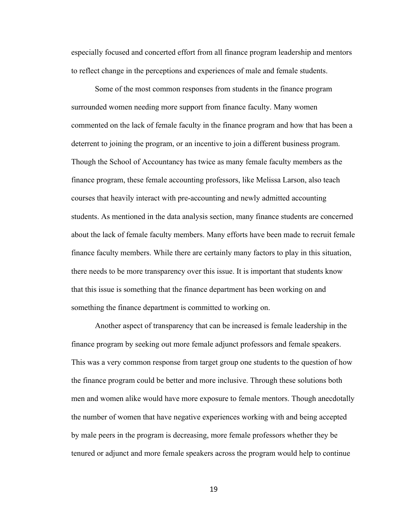especially focused and concerted effort from all finance program leadership and mentors to reflect change in the perceptions and experiences of male and female students.

Some of the most common responses from students in the finance program surrounded women needing more support from finance faculty. Many women commented on the lack of female faculty in the finance program and how that has been a deterrent to joining the program, or an incentive to join a different business program. Though the School of Accountancy has twice as many female faculty members as the finance program, these female accounting professors, like Melissa Larson, also teach courses that heavily interact with pre-accounting and newly admitted accounting students. As mentioned in the data analysis section, many finance students are concerned about the lack of female faculty members. Many efforts have been made to recruit female finance faculty members. While there are certainly many factors to play in this situation, there needs to be more transparency over this issue. It is important that students know that this issue is something that the finance department has been working on and something the finance department is committed to working on.

Another aspect of transparency that can be increased is female leadership in the finance program by seeking out more female adjunct professors and female speakers. This was a very common response from target group one students to the question of how the finance program could be better and more inclusive. Through these solutions both men and women alike would have more exposure to female mentors. Though anecdotally the number of women that have negative experiences working with and being accepted by male peers in the program is decreasing, more female professors whether they be tenured or adjunct and more female speakers across the program would help to continue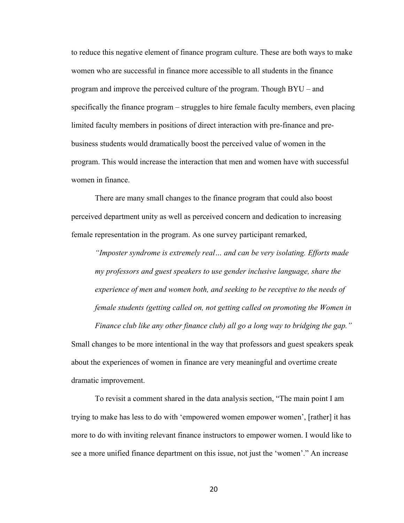to reduce this negative element of finance program culture. These are both ways to make women who are successful in finance more accessible to all students in the finance program and improve the perceived culture of the program. Though BYU – and specifically the finance program – struggles to hire female faculty members, even placing limited faculty members in positions of direct interaction with pre-finance and prebusiness students would dramatically boost the perceived value of women in the program. This would increase the interaction that men and women have with successful women in finance.

There are many small changes to the finance program that could also boost perceived department unity as well as perceived concern and dedication to increasing female representation in the program. As one survey participant remarked,

*"Imposter syndrome is extremely real… and can be very isolating. Efforts made my professors and guest speakers to use gender inclusive language, share the experience of men and women both, and seeking to be receptive to the needs of female students (getting called on, not getting called on promoting the Women in* 

*Finance club like any other finance club) all go a long way to bridging the gap."*

Small changes to be more intentional in the way that professors and guest speakers speak about the experiences of women in finance are very meaningful and overtime create dramatic improvement.

To revisit a comment shared in the data analysis section, "The main point I am trying to make has less to do with 'empowered women empower women', [rather] it has more to do with inviting relevant finance instructors to empower women. I would like to see a more unified finance department on this issue, not just the 'women'." An increase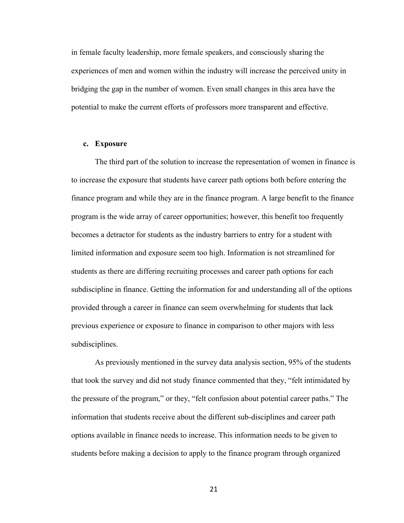in female faculty leadership, more female speakers, and consciously sharing the experiences of men and women within the industry will increase the perceived unity in bridging the gap in the number of women. Even small changes in this area have the potential to make the current efforts of professors more transparent and effective.

#### **c. Exposure**

The third part of the solution to increase the representation of women in finance is to increase the exposure that students have career path options both before entering the finance program and while they are in the finance program. A large benefit to the finance program is the wide array of career opportunities; however, this benefit too frequently becomes a detractor for students as the industry barriers to entry for a student with limited information and exposure seem too high. Information is not streamlined for students as there are differing recruiting processes and career path options for each subdiscipline in finance. Getting the information for and understanding all of the options provided through a career in finance can seem overwhelming for students that lack previous experience or exposure to finance in comparison to other majors with less subdisciplines.

As previously mentioned in the survey data analysis section, 95% of the students that took the survey and did not study finance commented that they, "felt intimidated by the pressure of the program," or they, "felt confusion about potential career paths." The information that students receive about the different sub-disciplines and career path options available in finance needs to increase. This information needs to be given to students before making a decision to apply to the finance program through organized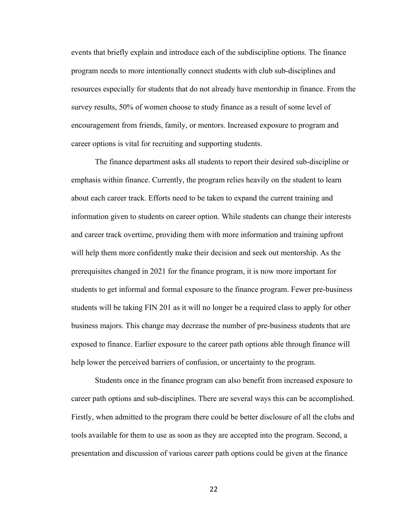events that briefly explain and introduce each of the subdiscipline options. The finance program needs to more intentionally connect students with club sub-disciplines and resources especially for students that do not already have mentorship in finance. From the survey results, 50% of women choose to study finance as a result of some level of encouragement from friends, family, or mentors. Increased exposure to program and career options is vital for recruiting and supporting students.

The finance department asks all students to report their desired sub-discipline or emphasis within finance. Currently, the program relies heavily on the student to learn about each career track. Efforts need to be taken to expand the current training and information given to students on career option. While students can change their interests and career track overtime, providing them with more information and training upfront will help them more confidently make their decision and seek out mentorship. As the prerequisites changed in 2021 for the finance program, it is now more important for students to get informal and formal exposure to the finance program. Fewer pre-business students will be taking FIN 201 as it will no longer be a required class to apply for other business majors. This change may decrease the number of pre-business students that are exposed to finance. Earlier exposure to the career path options able through finance will help lower the perceived barriers of confusion, or uncertainty to the program.

Students once in the finance program can also benefit from increased exposure to career path options and sub-disciplines. There are several ways this can be accomplished. Firstly, when admitted to the program there could be better disclosure of all the clubs and tools available for them to use as soon as they are accepted into the program. Second, a presentation and discussion of various career path options could be given at the finance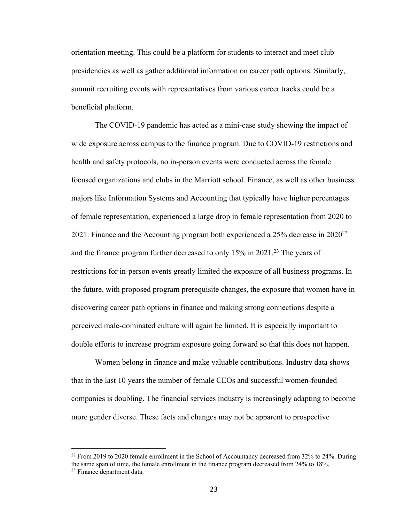orientation meeting. This could be a platform for students to interact and meet club presidencies as well as gather additional information on career path options. Similarly, summit recruiting events with representatives from various career tracks could be a beneficial platform.

The COVID-19 pandemic has acted as a mini-case study showing the impact of wide exposure across campus to the finance program. Due to COVID-19 restrictions and health and safety protocols, no in-person events were conducted across the female focused organizations and clubs in the Marriott school. Finance, as well as other business majors like Information Systems and Accounting that typically have higher percentages of female representation, experienced a large drop in female representation from 2020 to 2021. Finance and the Accounting program both experienced a  $25\%$  decrease in  $2020^{22}$ and the finance program further decreased to only  $15\%$  in  $2021$ <sup>23</sup>. The years of restrictions for in-person events greatly limited the exposure of all business programs. In the future, with proposed program prerequisite changes, the exposure that women have in discovering career path options in finance and making strong connections despite a perceived male-dominated culture will again be limited. It is especially important to double efforts to increase program exposure going forward so that this does not happen.

Women belong in finance and make valuable contributions. Industry data shows that in the last 10 years the number of female CEOs and successful women-founded companies is doubling. The financial services industry is increasingly adapting to become more gender diverse. These facts and changes may not be apparent to prospective

 $^{22}$  From 2019 to 2020 female enrollment in the School of Accountancy decreased from 32% to 24%. During the same span of time, the female enrollment in the finance program decreased from 24% to 18%. <sup>23</sup> Finance department data.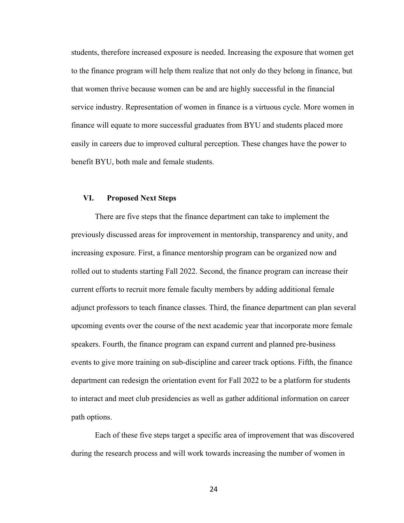students, therefore increased exposure is needed. Increasing the exposure that women get to the finance program will help them realize that not only do they belong in finance, but that women thrive because women can be and are highly successful in the financial service industry. Representation of women in finance is a virtuous cycle. More women in finance will equate to more successful graduates from BYU and students placed more easily in careers due to improved cultural perception. These changes have the power to benefit BYU, both male and female students.

#### **VI. Proposed Next Steps**

There are five steps that the finance department can take to implement the previously discussed areas for improvement in mentorship, transparency and unity, and increasing exposure. First, a finance mentorship program can be organized now and rolled out to students starting Fall 2022. Second, the finance program can increase their current efforts to recruit more female faculty members by adding additional female adjunct professors to teach finance classes. Third, the finance department can plan several upcoming events over the course of the next academic year that incorporate more female speakers. Fourth, the finance program can expand current and planned pre-business events to give more training on sub-discipline and career track options. Fifth, the finance department can redesign the orientation event for Fall 2022 to be a platform for students to interact and meet club presidencies as well as gather additional information on career path options.

Each of these five steps target a specific area of improvement that was discovered during the research process and will work towards increasing the number of women in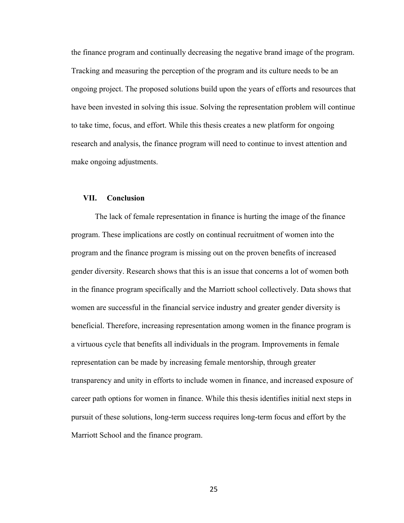the finance program and continually decreasing the negative brand image of the program. Tracking and measuring the perception of the program and its culture needs to be an ongoing project. The proposed solutions build upon the years of efforts and resources that have been invested in solving this issue. Solving the representation problem will continue to take time, focus, and effort. While this thesis creates a new platform for ongoing research and analysis, the finance program will need to continue to invest attention and make ongoing adjustments.

#### **VII. Conclusion**

The lack of female representation in finance is hurting the image of the finance program. These implications are costly on continual recruitment of women into the program and the finance program is missing out on the proven benefits of increased gender diversity. Research shows that this is an issue that concerns a lot of women both in the finance program specifically and the Marriott school collectively. Data shows that women are successful in the financial service industry and greater gender diversity is beneficial. Therefore, increasing representation among women in the finance program is a virtuous cycle that benefits all individuals in the program. Improvements in female representation can be made by increasing female mentorship, through greater transparency and unity in efforts to include women in finance, and increased exposure of career path options for women in finance. While this thesis identifies initial next steps in pursuit of these solutions, long-term success requires long-term focus and effort by the Marriott School and the finance program.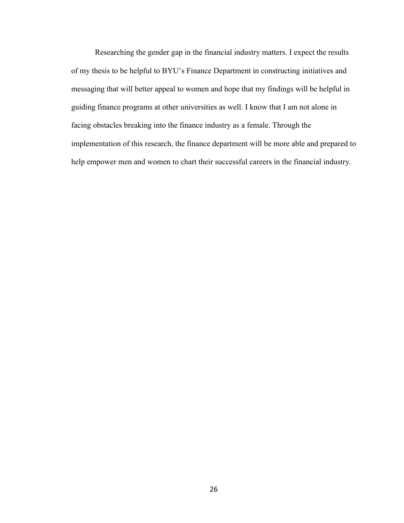Researching the gender gap in the financial industry matters. I expect the results of my thesis to be helpful to BYU's Finance Department in constructing initiatives and messaging that will better appeal to women and hope that my findings will be helpful in guiding finance programs at other universities as well. I know that I am not alone in facing obstacles breaking into the finance industry as a female. Through the implementation of this research, the finance department will be more able and prepared to help empower men and women to chart their successful careers in the financial industry.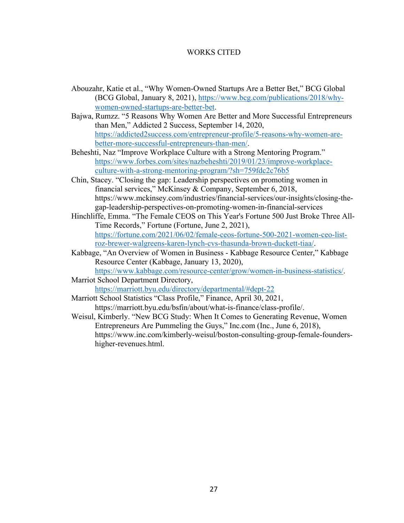### WORKS CITED

- Abouzahr, Katie et al., "Why Women-Owned Startups Are a Better Bet," BCG Global (BCG Global, January 8, 2021), https://www.bcg.com/publications/2018/whywomen-owned-startups-are-better-bet.
- Bajwa, Rumzz. "5 Reasons Why Women Are Better and More Successful Entrepreneurs than Men," Addicted 2 Success, September 14, 2020, https://addicted2success.com/entrepreneur-profile/5-reasons-why-women-arebetter-more-successful-entrepreneurs-than-men/.
- Beheshti, Naz "Improve Workplace Culture with a Strong Mentoring Program." https://www.forbes.com/sites/nazbeheshti/2019/01/23/improve-workplaceculture-with-a-strong-mentoring-program/?sh=759fdc2c76b5
- Chin, Stacey. "Closing the gap: Leadership perspectives on promoting women in financial services," McKinsey & Company, September 6, 2018, https://www.mckinsey.com/industries/financial-services/our-insights/closing-thegap-leadership-perspectives-on-promoting-women-in-financial-services
- Hinchliffe, Emma. "The Female CEOS on This Year's Fortune 500 Just Broke Three All-Time Records," Fortune (Fortune, June 2, 2021), https://fortune.com/2021/06/02/female-ceos-fortune-500-2021-women-ceo-listroz-brewer-walgreens-karen-lynch-cvs-thasunda-brown-duckett-tiaa/.
- Kabbage, "An Overview of Women in Business Kabbage Resource Center," Kabbage Resource Center (Kabbage, January 13, 2020),

https://www.kabbage.com/resource-center/grow/women-in-business-statistics/. Marriot School Department Directory,

https://marriott.byu.edu/directory/departmental/#dept-22

Marriott School Statistics "Class Profile," Finance, April 30, 2021, https://marriott.byu.edu/bsfin/about/what-is-finance/class-profile/.

Weisul, Kimberly. "New BCG Study: When It Comes to Generating Revenue, Women Entrepreneurs Are Pummeling the Guys," Inc.com (Inc., June 6, 2018), https://www.inc.com/kimberly-weisul/boston-consulting-group-female-foundershigher-revenues.html.